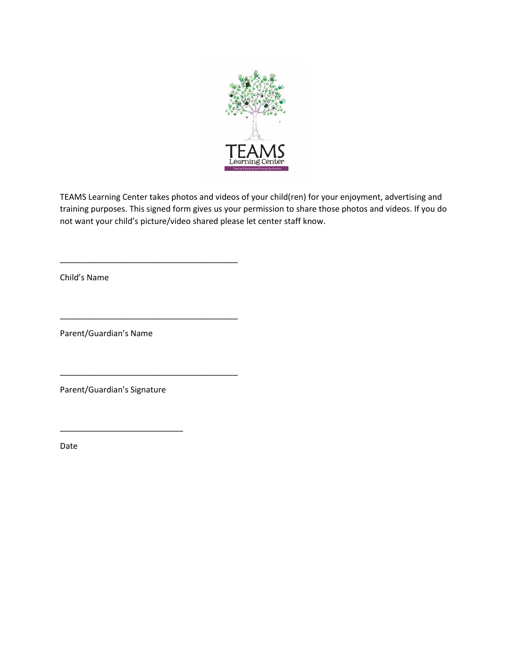

TEAMS Learning Center takes photos and videos of your child(ren) for your enjoyment, advertising and training purposes. This signed form gives us your permission to share those photos and videos. If you do not want your child's picture/video shared please let center staff know.

Child's Name

Parent/Guardian's Name

\_\_\_\_\_\_\_\_\_\_\_\_\_\_\_\_\_\_\_\_\_\_\_\_\_\_\_\_\_\_\_\_\_\_\_\_\_\_\_

\_\_\_\_\_\_\_\_\_\_\_\_\_\_\_\_\_\_\_\_\_\_\_\_\_\_\_\_\_\_\_\_\_\_\_\_\_\_\_

\_\_\_\_\_\_\_\_\_\_\_\_\_\_\_\_\_\_\_\_\_\_\_\_\_\_\_\_\_\_\_\_\_\_\_\_\_\_\_

Parent/Guardian's Signature

\_\_\_\_\_\_\_\_\_\_\_\_\_\_\_\_\_\_\_\_\_\_\_\_\_\_\_

Date